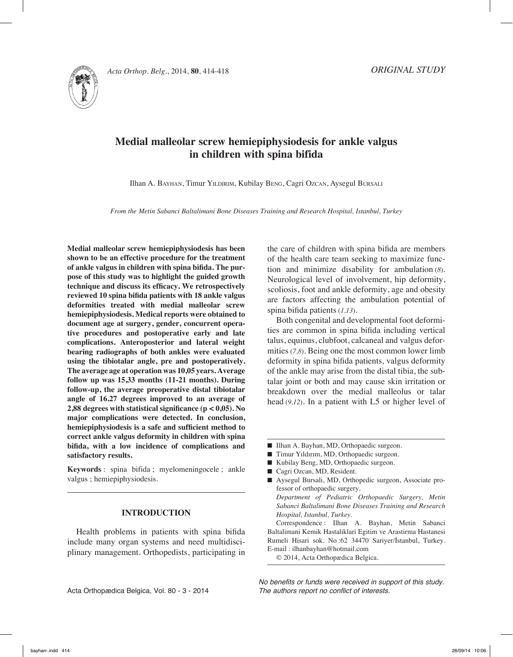



# **Medial malleolar screw hemiepiphysiodesis for ankle valgus in children with spina bifida**

Ilhan A. Bayhan, Timur Yildirim, Kubilay Beng, Cagri Ozcan, Aysegul Bursali

*From the Metin Sabanci Baltalimani Bone Diseases Training and Research Hospital, Istanbul, Turkey*

**Medial malleolar screw hemiepiphysiodesis has been shown to be an effective procedure for the treatment of ankle valgus in children with spina bifida. The purpose of this study was to highlight the guided growth technique and discuss its efficacy. We retrospectively reviewed 10 spina bifida patients with 18 ankle valgus deformities treated with medial malleolar screw hemiepiphysiodesis. Medical reports were obtained to document age at surgery, gender, concurrent operative procedures and postoperative early and late complications. Anteroposterior and lateral weight bearing radiographs of both ankles were evaluated using the tibiotalar angle, pre and postoperatively. The average age at operation was 10,05 years. Average follow up was 15,33 months (11-21 months). During follow-up, the average preoperative distal tibiotalar angle of 16.27 degrees improved to an average of 2,88 degrees with statistical significance (p < 0,05). No major complications were detected. In conclusion, hemiepiphysiodesis is a safe and sufficient method to correct ankle valgus deformity in children with spina bifida, with a low incidence of complications and satisfactory results.**

**Keywords** : spina bifida ; myelomeningocele ; ankle valgus ; hemiepiphysiodesis.

## **INTRODUCTION**

Health problems in patients with spina bifida include many organ systems and need multidisciplinary management. Orthopedists, participating in the care of children with spina bifida are members of the health care team seeking to maximize function and minimize disability for ambulation (*8*). Neurological level of involvement, hip deformity, scoliosis, foot and ankle deformity, age and obesity are factors affecting the ambulation potential of spina bifida patients (*1,13*).

Both congenital and developmental foot deformities are common in spina bifida including vertical talus, equinus, clubfoot, calcaneal and valgus deformities (*7,8*). Being one the most common lower limb deformity in spina bifida patients, valgus deformity of the ankle may arise from the distal tibia, the subtalar joint or both and may cause skin irritation or breakdown over the medial malleolus or talar head (*9,12*). In a patient with L5 or higher level of

- Ilhan A. Bayhan, MD, Orthopaedic surgeon.
- Timur Yıldırım, MD, Orthopaedic surgeon.
- Kubilay Beng, MD, Orthopaedic surgeon.
- Cagri Ozcan, MD, Resident.
- Aysegul Bursali, MD, Orthopedic surgeon, Associate professor of orthopaedic surgery. *Department of Pediatric Orthopaedic Surgery, Metin Sabanci Baltalimani Bone Diseases Training and Research Hospital, Istanbul, Turkey.*

Correspondence : Ilhan A. Bayhan, Metin Sabanci Baltalimani Kemik Hastaliklari Egitim ve Arastirma Hastanesi Rumeli Hisari sok. No :62 34470 Sariyer/İstanbul, Turkey. E-mail : ilhanbayhan@hotmail.com

© 2014, Acta Orthopædica Belgica.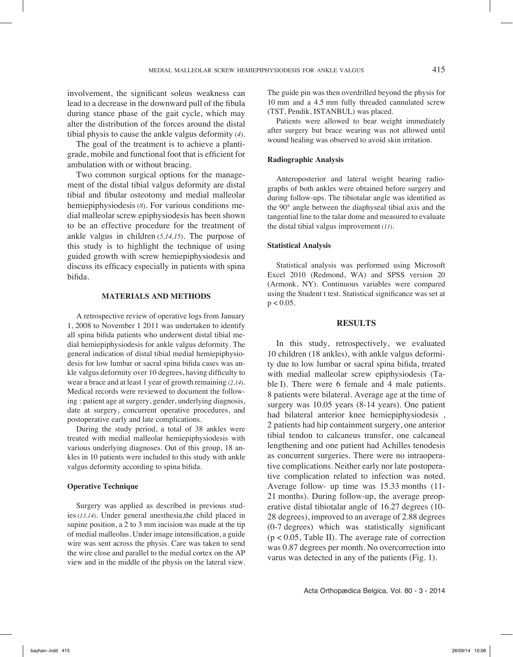involvement, the significant soleus weakness can lead to a decrease in the downward pull of the fibula during stance phase of the gait cycle, which may alter the distribution of the forces around the distal tibial physis to cause the ankle valgus deformity (*4*).

The goal of the treatment is to achieve a plantigrade, mobile and functional foot that is efficient for ambulation with or without bracing.

Two common surgical options for the management of the distal tibial valgus deformity are distal tibial and fibular osteotomy and medial malleolar hemiepiphysiodesis (*8*). For various conditions medial malleolar screw epiphysiodesis has been shown to be an effective procedure for the treatment of ankle valgus in children (*5,14,15*). The purpose of this study is to highlight the technique of using guided growth with screw hemiepiphysiodesis and discuss its efficacy especially in patients with spina bifida.

#### **MATERIALS and METHODS**

A retrospective review of operative logs from January 1, 2008 to November 1 2011 was undertaken to identify all spina bifida patients who underwent distal tibial medial hemiepiphysiodesis for ankle valgus deformity. The general indication of distal tibial medial hemiepiphysiodesis for low lumbar or sacral spina bifida cases was ankle valgus deformity over 10 degrees, having difficulty to wear a brace and at least 1 year of growth remaining (*2,14*). Medical records were reviewed to document the following : patient age at surgery, gender, underlying diagnosis, date at surgery, concurrent operative procedures, and postoperative early and late complications.

During the study period, a total of 38 ankles were treated with medial malleolar hemiepiphysiodesis with various underlying diagnoses. Out of this group, 18 ankles in 10 patients were included to this study with ankle valgus deformity according to spina bifida.

#### **Operative Technique**

Surgery was applied as described in previous studies (*13,14*). Under general anesthesia,the child placed in supine position, a 2 to 3 mm incision was made at the tip of medial malleolus. Under image intensification, a guide wire was sent across the physis. Care was taken to send the wire close and parallel to the medial cortex on the AP view and in the middle of the physis on the lateral view. The guide pin was then overdrilled beyond the physis for 10 mm and a 4.5 mm fully threaded cannulated screw (TST, Pendik, ISTANBUL) was placed.

Patients were allowed to bear weight immediately after surgery but brace wearing was not allowed until wound healing was observed to avoid skin irritation.

#### **Radiographic Analysis**

Anteroposterior and lateral weight bearing radiographs of both ankles were obtained before surgery and during follow-ups. The tibiotalar angle was identified as the 90° angle between the diaphyseal tibial axis and the tangential line to the talar dome and measured to evaluate the distal tibial valgus improvement (*11*).

#### **Statistical Analysis**

Statistical analysis was performed using Microsoft Excel 2010 (Redmond, WA) and SPSS version 20 (Armonk, NY). Continuous variables were compared using the Student t test. Statistical significance was set at  $p < 0.05$ .

#### **RESULTS**

In this study, retrospectively, we evaluated 10 children (18 ankles), with ankle valgus deformity due to low lumbar or sacral spina bifida, treated with medial malleolar screw epiphysiodesis (Table I). There were 6 female and 4 male patients. 8 patients were bilateral. Average age at the time of surgery was 10.05 years (8-14 years). One patient had bilateral anterior knee hemiepiphysiodesis , 2 patients had hip containment surgery, one anterior tibial tendon to calcaneus transfer, one calcaneal lengthening and one patient had Achilles tenodesis as concurrent surgeries. There were no intraoperative complications. Neither early nor late postoperative complication related to infection was noted. Average follow- up time was 15.33 months (11- 21 months). During follow-up, the average preoperative distal tibiotalar angle of 16.27 degrees (10- 28 degrees), improved to an average of 2.88 degrees (0-7 degrees) which was statistically significant  $(p < 0.05$ , Table II). The average rate of correction was 0.87 degrees per month. No overcorrection into varus was detected in any of the patients (Fig. 1).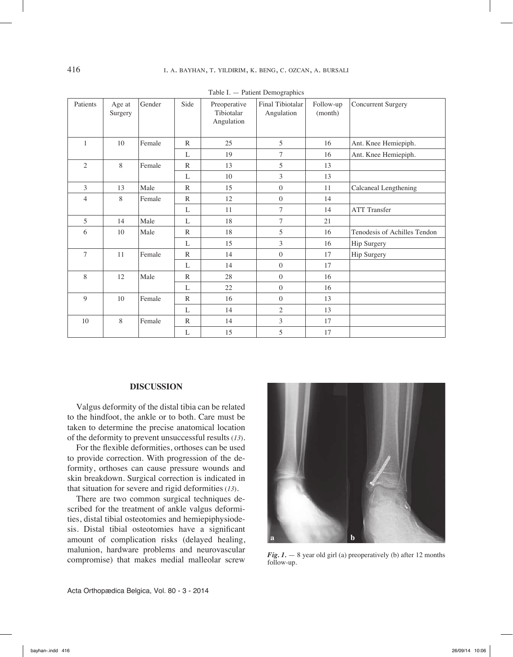| Patients       | Age at<br>Surgery | Gender | Side         | Preoperative<br>Tibiotalar<br>Angulation | Final Tibiotalar<br>Angulation | Follow-up<br>(month) | <b>Concurrent Surgery</b>    |
|----------------|-------------------|--------|--------------|------------------------------------------|--------------------------------|----------------------|------------------------------|
| $\mathbf{1}$   | 10                | Female | $\mathbb{R}$ | 25                                       | 5                              | 16                   | Ant. Knee Hemiepiph.         |
|                |                   |        | L            | 19                                       | 7                              | 16                   | Ant. Knee Hemiepiph.         |
| $\overline{2}$ | $8\,$             | Female | $\mathbb{R}$ | 13                                       | 5                              | 13                   |                              |
|                |                   |        | L            | 10                                       | 3                              | 13                   |                              |
| $\overline{3}$ | 13                | Male   | $\mathbb{R}$ | 15                                       | $\overline{0}$                 | 11                   | Calcaneal Lengthening        |
| $\overline{4}$ | 8                 | Female | $\mathbb{R}$ | 12                                       | $\boldsymbol{0}$               | 14                   |                              |
|                |                   |        | L            | 11                                       | 7                              | 14                   | <b>ATT Transfer</b>          |
| 5              | 14                | Male   | L            | 18                                       | $\tau$                         | 21                   |                              |
| 6              | 10                | Male   | $\mathbb{R}$ | 18                                       | 5                              | 16                   | Tenodesis of Achilles Tendon |
|                |                   |        | L            | 15                                       | 3                              | 16                   | Hip Surgery                  |
| $\overline{7}$ | 11                | Female | $\mathbb{R}$ | 14                                       | $\overline{0}$                 | 17                   | Hip Surgery                  |
|                |                   |        | L            | 14                                       | $\overline{0}$                 | 17                   |                              |
| 8              | 12                | Male   | $\mathbb{R}$ | 28                                       | $\overline{0}$                 | 16                   |                              |
|                |                   |        | L            | $22\,$                                   | $\boldsymbol{0}$               | 16                   |                              |
| 9              | $10\,$            | Female | $\mathbb{R}$ | 16                                       | $\mathbf{0}$                   | 13                   |                              |
|                |                   |        | L            | 14                                       | $\overline{2}$                 | 13                   |                              |
| $10\,$         | 8                 | Female | $\mathbb{R}$ | 14                                       | 3                              | 17                   |                              |
|                |                   |        | L            | 15                                       | 5                              | 17                   |                              |

Table I. — Patient Demographics

### **DISCUSSION**

Valgus deformity of the distal tibia can be related to the hindfoot, the ankle or to both. Care must be taken to determine the precise anatomical location of the deformity to prevent unsuccessful results (*13*).

For the flexible deformities, orthoses can be used to provide correction. With progression of the deformity, orthoses can cause pressure wounds and skin breakdown. Surgical correction is indicated in that situation for severe and rigid deformities (*13*).

There are two common surgical techniques described for the treatment of ankle valgus deformities, distal tibial osteotomies and hemiepiphysiodesis. Distal tibial osteotomies have a significant amount of complication risks (delayed healing, malunion, hardware problems and neurovascular compromise) that makes medial malleolar screw



*Fig. 1.* — 8 year old girl (a) preoperatively (b) after 12 months follow-up.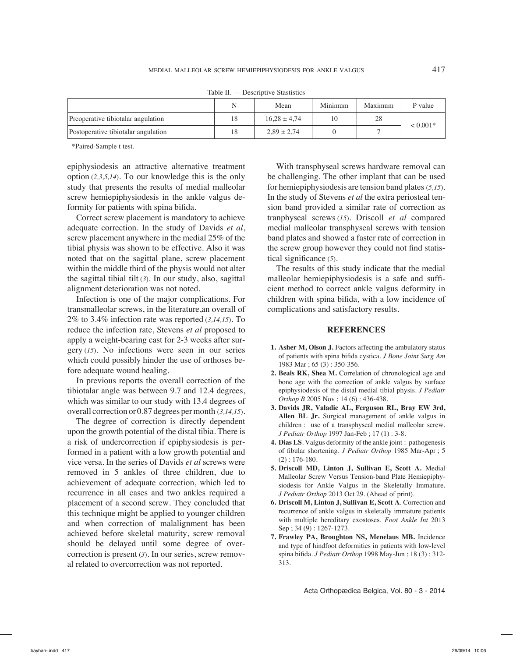|                                     | N  | Mean             | Minimum | Maximum | P value    |  |  |  |  |
|-------------------------------------|----|------------------|---------|---------|------------|--|--|--|--|
| Preoperative tibiotalar angulation  | 18 | $16.28 \pm 4.74$ |         | 28      | $< 0.001*$ |  |  |  |  |
| Postoperative tibiotalar angulation | 18 | $2.89 \pm 2.74$  |         |         |            |  |  |  |  |

Table II. — Descriptive Stastistics

\*Paired-Sample t test.

epiphysiodesis an attractive alternative treatment option (*2,3,5,14*). To our knowledge this is the only study that presents the results of medial malleolar screw hemiepiphysiodesis in the ankle valgus deformity for patients with spina bifida.

Correct screw placement is mandatory to achieve adequate correction. In the study of Davids *et al*, screw placement anywhere in the medial 25% of the tibial physis was shown to be effective. Also it was noted that on the sagittal plane, screw placement within the middle third of the physis would not alter the sagittal tibial tilt (*3*). In our study, also, sagittal alignment deterioration was not noted.

Infection is one of the major complications. For transmalleolar screws, in the literature,an overall of 2% to 3.4% infection rate was reported (*3,14,15*). To reduce the infection rate, Stevens *et al* proposed to apply a weight-bearing cast for 2-3 weeks after surgery (*15*). No infections were seen in our series which could possibly hinder the use of orthoses before adequate wound healing.

In previous reports the overall correction of the tibiotalar angle was between 9.7 and 12.4 degrees, which was similar to our study with 13.4 degrees of overall correction or 0.87 degrees per month (*3,14,15*).

The degree of correction is directly dependent upon the growth potential of the distal tibia. There is a risk of undercorrection if epiphysiodesis is performed in a patient with a low growth potential and vice versa. In the series of Davids *et al* screws were removed in 5 ankles of three children, due to achievement of adequate correction, which led to recurrence in all cases and two ankles required a placement of a second screw. They concluded that this technique might be applied to younger children and when correction of malalignment has been achieved before skeletal maturity, screw removal should be delayed until some degree of overcorrection is present (*3*). In our series, screw removal related to overcorrection was not reported.

With transphyseal screws hardware removal can be challenging. The other implant that can be used for hemiepiphysiodesis are tension band plates (*5,15*). In the study of Stevens *et al* the extra periosteal tension band provided a similar rate of correction as tranphyseal screws (*15*). Driscoll *et al* compared medial malleolar transphyseal screws with tension band plates and showed a faster rate of correction in the screw group however they could not find statistical significance (*5*).

The results of this study indicate that the medial malleolar hemiepiphysiodesis is a safe and sufficient method to correct ankle valgus deformity in children with spina bifida, with a low incidence of complications and satisfactory results.

#### **REFERENCES**

- **1. Asher M, Olson J.** Factors affecting the ambulatory status of patients with spina bifida cystica*. J Bone Joint Surg Am* 1983 Mar ; 65 (3) : 350-356.
- **2. Beals RK, Shea M.** Correlation of chronological age and bone age with the correction of ankle valgus by surface epiphysiodesis of the distal medial tibial physis. *J Pediatr Orthop B* 2005 Nov ; 14 (6) : 436-438.
- **3. Davids JR, Valadie AL, Ferguson RL, Bray EW 3rd, Allen BL Jr.** Surgical management of ankle valgus in children : use of a transphyseal medial malleolar screw. *J Pediatr Orthop* 1997 Jan-Feb ; 17 (1) : 3-8.
- **4. Dias LS**. Valgus deformity of the ankle joint : pathogenesis of fibular shortening. *J Pediatr Orthop* 1985 Mar-Apr ; 5 (2) : 176-180.
- **5. Driscoll MD, Linton J, Sullivan E, Scott A.** Medial Malleolar Screw Versus Tension-band Plate Hemiepiphysiodesis for Ankle Valgus in the Skeletally Immature. *J Pediatr Orthop* 2013 Oct 29. (Ahead of print).
- **6. Driscoll M, Linton J, Sullivan E, Scott A**. Correction and recurrence of ankle valgus in skeletally immature patients with multiple hereditary exostoses. *Foot Ankle Int* 2013 Sep : 34 (9) : 1267-1273.
- **7. Frawley PA, Broughton NS, Menelaus MB.** Incidence and type of hindfoot deformities in patients with low-level spina bifida*. J Pediatr Orthop* 1998 May-Jun ; 18 (3) : 312- 313.